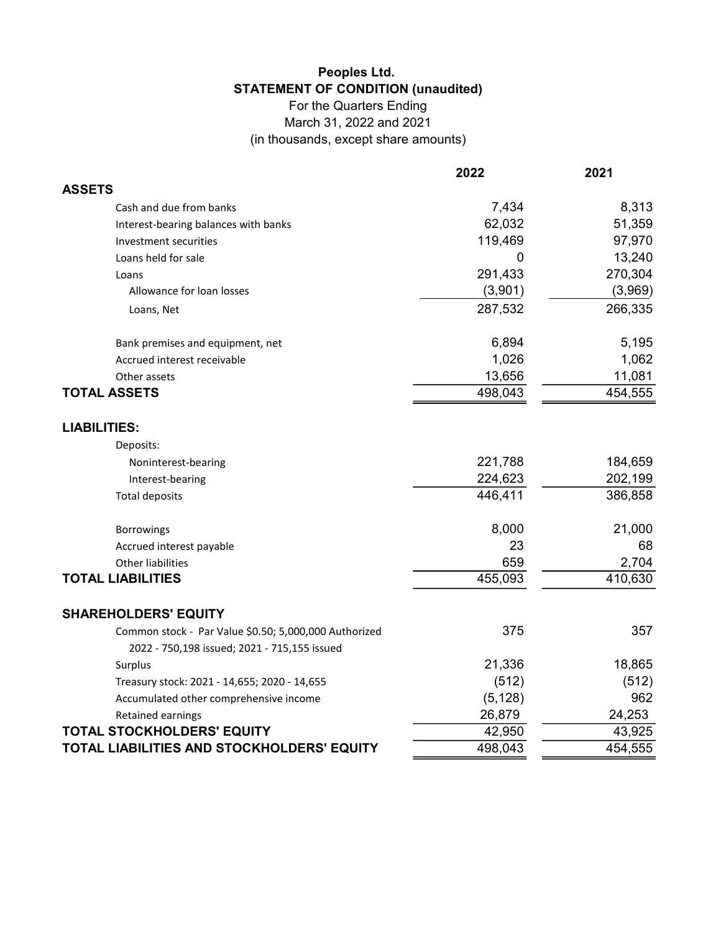## Peoples Ltd. STATEMENT OF CONDITION (unaudited)

For the Quarters Ending March 31, 2022 and 2021 (in thousands, except share amounts)

|                                                       | 2022     | 2021    |
|-------------------------------------------------------|----------|---------|
| <b>ASSETS</b>                                         |          |         |
| Cash and due from banks                               | 7,434    | 8,313   |
| Interest-bearing balances with banks                  | 62,032   | 51,359  |
| Investment securities                                 | 119,469  | 97,970  |
| Loans held for sale                                   | 0        | 13,240  |
| Loans                                                 | 291,433  | 270,304 |
| Allowance for loan losses                             | (3,901)  | (3,969) |
| Loans, Net                                            | 287,532  | 266,335 |
| Bank premises and equipment, net                      | 6,894    | 5,195   |
| Accrued interest receivable                           | 1,026    | 1,062   |
| Other assets                                          | 13,656   | 11,081  |
| <b>TOTAL ASSETS</b>                                   | 498,043  | 454,555 |
| <b>LIABILITIES:</b>                                   |          |         |
| Deposits:                                             |          |         |
| Noninterest-bearing                                   | 221,788  | 184,659 |
| Interest-bearing                                      | 224,623  | 202,199 |
| <b>Total deposits</b>                                 | 446,411  | 386,858 |
| Borrowings                                            | 8,000    | 21,000  |
| Accrued interest payable                              | 23       | 68      |
| <b>Other liabilities</b>                              | 659      | 2,704   |
| <b>TOTAL LIABILITIES</b>                              | 455,093  | 410,630 |
| <b>SHAREHOLDERS' EQUITY</b>                           |          |         |
| Common stock - Par Value \$0.50; 5,000,000 Authorized | 375      | 357     |
| 2022 - 750,198 issued; 2021 - 715,155 issued          |          |         |
| Surplus                                               | 21,336   | 18,865  |
| Treasury stock: 2021 - 14,655; 2020 - 14,655          | (512)    | (512)   |
| Accumulated other comprehensive income                | (5, 128) | 962     |
| Retained earnings                                     | 26,879   | 24,253  |
| <b>TOTAL STOCKHOLDERS' EQUITY</b>                     | 42,950   | 43,925  |
| TOTAL LIABILITIES AND STOCKHOLDERS' EQUITY            | 498,043  | 454,555 |